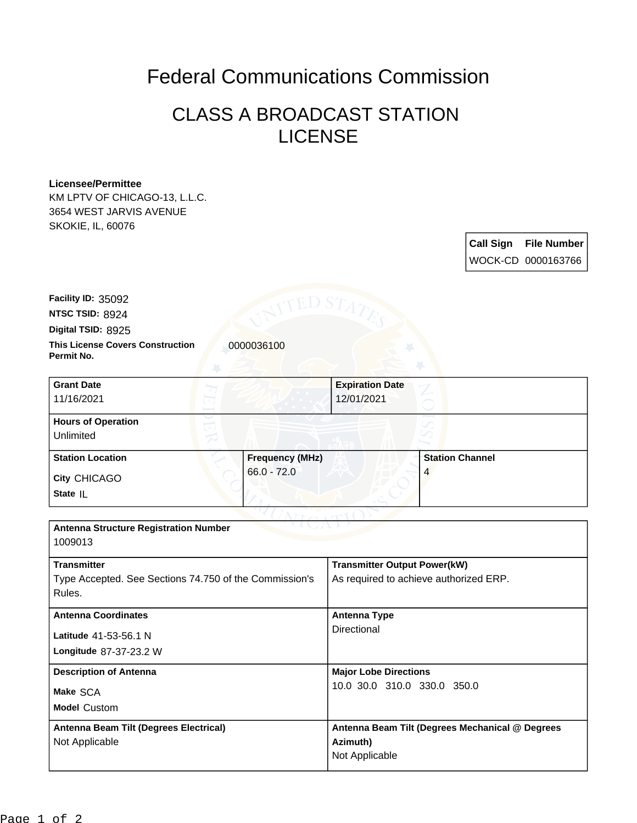## Federal Communications Commission

## CLASS A BROADCAST STATION LICENSE

## **Licensee/Permittee**

KM LPTV OF CHICAGO-13, L.L.C. 3654 WEST JARVIS AVENUE SKOKIE, IL, 60076

> **Call Sign File Number** WOCK-CD 0000163766

**NTSC TSID:** 8924 **Facility ID:** 35092

**Digital TSID:** 8925

**This License Covers Construction 10000036100 Permit No.**

| <b>Grant Date</b><br>11/16/2021        |                        | <b>Expiration Date</b><br>12/01/2021 |                        |  |
|----------------------------------------|------------------------|--------------------------------------|------------------------|--|
| <b>Hours of Operation</b><br>Unlimited |                        |                                      | ℺                      |  |
| <b>Station Location</b>                | <b>Frequency (MHz)</b> |                                      | <b>Station Channel</b> |  |
| <b>City CHICAGO</b><br>State IL        | $66.0 - 72.0$          |                                      | 4                      |  |

| <b>Antenna Structure Registration Number</b><br>1009013 |                                                 |  |  |  |
|---------------------------------------------------------|-------------------------------------------------|--|--|--|
|                                                         |                                                 |  |  |  |
| <b>Transmitter</b>                                      | <b>Transmitter Output Power(kW)</b>             |  |  |  |
| Type Accepted. See Sections 74.750 of the Commission's  | As required to achieve authorized ERP.          |  |  |  |
| Rules.                                                  |                                                 |  |  |  |
| <b>Antenna Coordinates</b>                              | Antenna Type<br>Directional                     |  |  |  |
| Latitude 41-53-56.1 N                                   |                                                 |  |  |  |
| Longitude 87-37-23.2 W                                  |                                                 |  |  |  |
| <b>Description of Antenna</b>                           | <b>Major Lobe Directions</b>                    |  |  |  |
| Make SCA                                                | 10.0 30.0 310.0 330.0 350.0                     |  |  |  |
| <b>Model Custom</b>                                     |                                                 |  |  |  |
| Antenna Beam Tilt (Degrees Electrical)                  | Antenna Beam Tilt (Degrees Mechanical @ Degrees |  |  |  |
| Not Applicable                                          | Azimuth)                                        |  |  |  |
|                                                         | Not Applicable                                  |  |  |  |